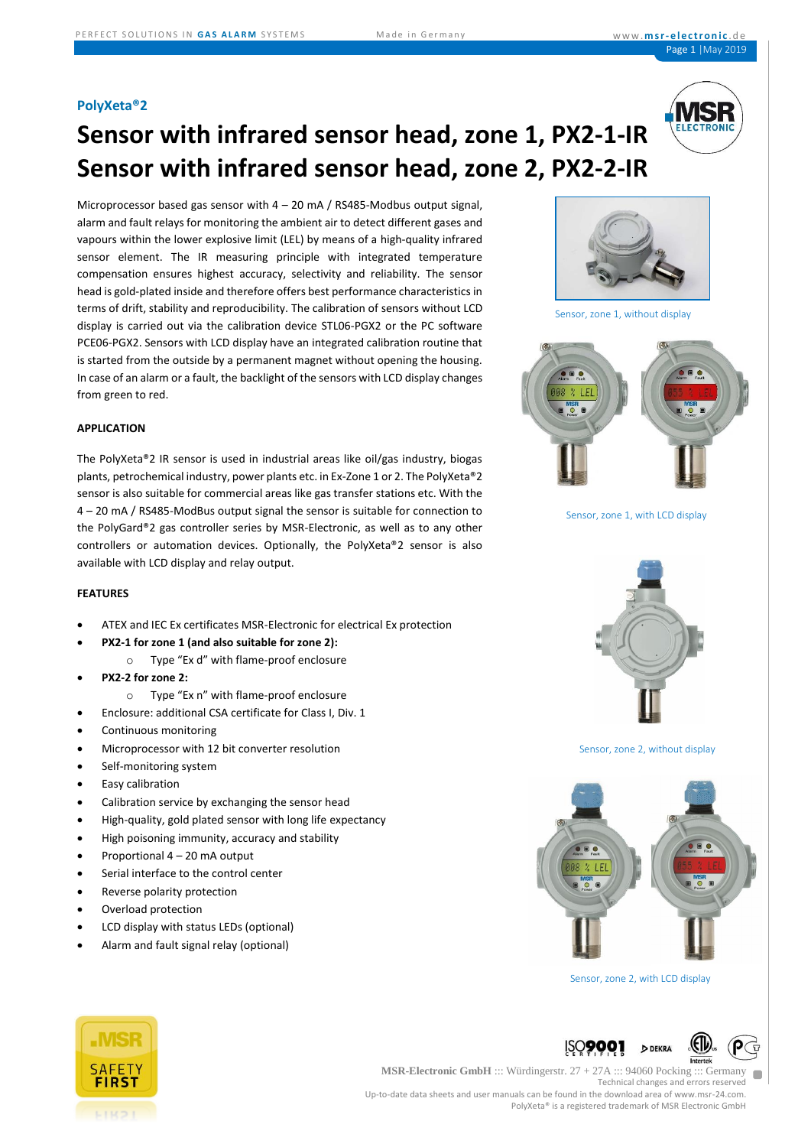### **PolyXeta®2**

# **Sensor with infrared sensor head, zone 1, PX2-1-IR Sensor with infrared sensor head, zone 2, PX2-2-IR**

Microprocessor based gas sensor with  $4 - 20$  mA / RS485-Modbus output signal, alarm and fault relays for monitoring the ambient air to detect different gases and vapours within the lower explosive limit (LEL) by means of a high-quality infrared sensor element. The IR measuring principle with integrated temperature compensation ensures highest accuracy, selectivity and reliability. The sensor head is gold-plated inside and therefore offers best performance characteristics in terms of drift, stability and reproducibility. The calibration of sensors without LCD display is carried out via the calibration device STL06-PGX2 or the PC software PCE06-PGX2. Sensors with LCD display have an integrated calibration routine that is started from the outside by a permanent magnet without opening the housing. In case of an alarm or a fault, the backlight of the sensors with LCD display changes from green to red.

### **APPLICATION**

The PolyXeta®2 IR sensor is used in industrial areas like oil/gas industry, biogas plants, petrochemical industry, power plants etc. in Ex-Zone 1 or 2. The PolyXeta®2 sensor is also suitable for commercial areas like gas transfer stations etc. With the 4 – 20 mA / RS485-ModBus output signal the sensor is suitable for connection to the PolyGard®2 gas controller series by MSR-Electronic, as well as to any other controllers or automation devices. Optionally, the PolyXeta®2 sensor is also available with LCD display and relay output.

### **FEATURES**

- ATEX and IEC Ex certificates MSR-Electronic for electrical Ex protection
- **PX2-1 for zone 1 (and also suitable for zone 2):**
	- o Type "Ex d" with flame-proof enclosure
- **PX2-2 for zone 2:** 
	- o Type "Ex n" with flame-proof enclosure
	- Enclosure: additional CSA certificate for Class I, Div. 1
- Continuous monitoring
- Microprocessor with 12 bit converter resolution
- Self-monitoring system
- Easy calibration
- Calibration service by exchanging the sensor head
- High-quality, gold plated sensor with long life expectancy
- High poisoning immunity, accuracy and stability
- Proportional 4 20 mA output
- Serial interface to the control center
- Reverse polarity protection
- Overload protection
- LCD display with status LEDs (optional)
- Alarm and fault signal relay (optional)



Sensor, zone 1, without display



Sensor, zone 1, with LCD display



Sensor, zone 2, without display



Sensor, zone 2, with LCD display

DEKRA



#### **MSR-Electronic GmbH** ::: Würdingerstr. 27 + 27A ::: 94060 Pocking ::: Germany Technical changes and errors reserved Up-to-date data sheets and user manuals can be found in the download area of www.msr-24.com. PolyXeta® is a registered trademark of MSR Electronic GmbH

ISO**900**'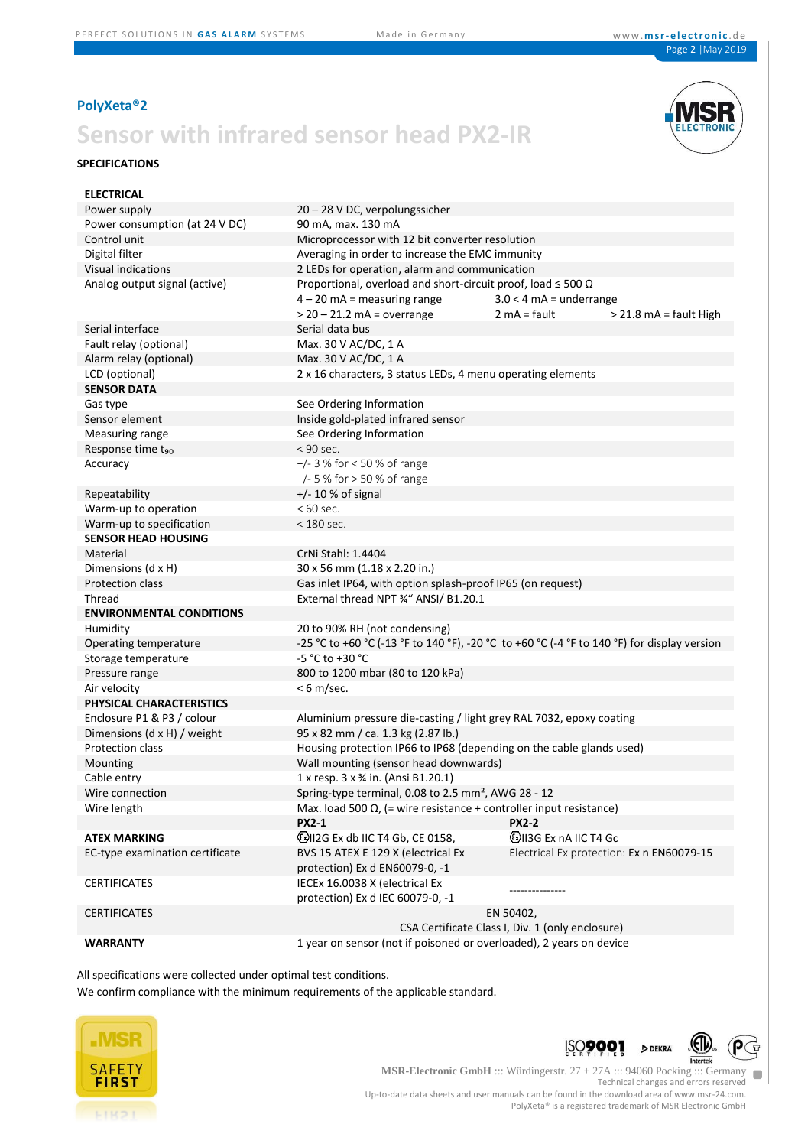## **PolyXeta®2**

## **Sensor with infrared sensor head PX2-IR**

### **SPECIFICATIONS**



| <b>ELECTRICAL</b>                  |                                                                                             |                                                           |  |  |  |
|------------------------------------|---------------------------------------------------------------------------------------------|-----------------------------------------------------------|--|--|--|
| Power supply                       | 20 - 28 V DC, verpolungssicher                                                              |                                                           |  |  |  |
| Power consumption (at 24 V DC)     | 90 mA, max. 130 mA                                                                          |                                                           |  |  |  |
| Control unit                       | Microprocessor with 12 bit converter resolution                                             |                                                           |  |  |  |
| Digital filter                     | Averaging in order to increase the EMC immunity                                             |                                                           |  |  |  |
| Visual indications                 | 2 LEDs for operation, alarm and communication                                               |                                                           |  |  |  |
| Analog output signal (active)      | Proportional, overload and short-circuit proof, load $\leq 500 \Omega$                      |                                                           |  |  |  |
|                                    | $4 - 20$ mA = measuring range                                                               | $3.0 < 4$ mA = underrange                                 |  |  |  |
|                                    | $>$ 20 – 21.2 mA = overrange                                                                | $2 \text{ mA} = \text{fault}$<br>$>$ 21.8 mA = fault High |  |  |  |
| Serial interface                   | Serial data bus                                                                             |                                                           |  |  |  |
| Fault relay (optional)             | Max. 30 V AC/DC, 1 A                                                                        |                                                           |  |  |  |
| Alarm relay (optional)             | Max. 30 V AC/DC, 1 A                                                                        |                                                           |  |  |  |
| LCD (optional)                     | 2 x 16 characters, 3 status LEDs, 4 menu operating elements                                 |                                                           |  |  |  |
| <b>SENSOR DATA</b>                 |                                                                                             |                                                           |  |  |  |
| Gas type                           | See Ordering Information                                                                    |                                                           |  |  |  |
| Sensor element                     | Inside gold-plated infrared sensor                                                          |                                                           |  |  |  |
| Measuring range                    | See Ordering Information                                                                    |                                                           |  |  |  |
| Response time t <sub>90</sub>      | $< 90$ sec.                                                                                 |                                                           |  |  |  |
| Accuracy                           | $+/- 3$ % for < 50 % of range                                                               |                                                           |  |  |  |
|                                    | $+/- 5$ % for $> 50$ % of range                                                             |                                                           |  |  |  |
| Repeatability                      | $+/- 10$ % of signal                                                                        |                                                           |  |  |  |
| Warm-up to operation               | $<60$ sec.                                                                                  |                                                           |  |  |  |
| Warm-up to specification           | $<$ 180 sec.                                                                                |                                                           |  |  |  |
| <b>SENSOR HEAD HOUSING</b>         |                                                                                             |                                                           |  |  |  |
| Material                           | CrNi Stahl: 1.4404                                                                          |                                                           |  |  |  |
| Dimensions (d x H)                 | 30 x 56 mm (1.18 x 2.20 in.)                                                                |                                                           |  |  |  |
| Protection class                   | Gas inlet IP64, with option splash-proof IP65 (on request)                                  |                                                           |  |  |  |
| Thread                             | External thread NPT 34" ANSI/ B1.20.1                                                       |                                                           |  |  |  |
| <b>ENVIRONMENTAL CONDITIONS</b>    |                                                                                             |                                                           |  |  |  |
| Humidity                           | 20 to 90% RH (not condensing)                                                               |                                                           |  |  |  |
| Operating temperature              | -25 °C to +60 °C (-13 °F to 140 °F), -20 °C to +60 °C (-4 °F to 140 °F) for display version |                                                           |  |  |  |
| Storage temperature                | -5 °C to +30 °C                                                                             |                                                           |  |  |  |
| Pressure range                     | 800 to 1200 mbar (80 to 120 kPa)                                                            |                                                           |  |  |  |
| Air velocity                       | $< 6$ m/sec.                                                                                |                                                           |  |  |  |
| PHYSICAL CHARACTERISTICS           |                                                                                             |                                                           |  |  |  |
| Enclosure P1 & P3 / colour         | Aluminium pressure die-casting / light grey RAL 7032, epoxy coating                         |                                                           |  |  |  |
| Dimensions $(d \times H)$ / weight | 95 x 82 mm / ca. 1.3 kg (2.87 lb.)                                                          |                                                           |  |  |  |
| Protection class                   | Housing protection IP66 to IP68 (depending on the cable glands used)                        |                                                           |  |  |  |
| Mounting                           | Wall mounting (sensor head downwards)                                                       |                                                           |  |  |  |
| Cable entry                        | 1 x resp. 3 x 3/4 in. (Ansi B1.20.1)                                                        |                                                           |  |  |  |
| Wire connection                    | Spring-type terminal, 0.08 to 2.5 mm <sup>2</sup> , AWG 28 - 12                             |                                                           |  |  |  |
| Wire length                        | Max. load 500 $\Omega$ , (= wire resistance + controller input resistance)                  |                                                           |  |  |  |
|                                    | <b>PX2-1</b>                                                                                | <b>PX2-2</b>                                              |  |  |  |
| <b>ATEX MARKING</b>                | WII2G Ex db IIC T4 Gb, CE 0158,                                                             | <b>VII3G Ex nA IIC T4 Gc</b>                              |  |  |  |
| EC-type examination certificate    | BVS 15 ATEX E 129 X (electrical Ex                                                          | Electrical Ex protection: Ex n EN60079-15                 |  |  |  |
|                                    | protection) Ex d EN60079-0, -1                                                              |                                                           |  |  |  |
| <b>CERTIFICATES</b>                | IECEx 16.0038 X (electrical Ex                                                              |                                                           |  |  |  |
|                                    | protection) Ex d IEC 60079-0, -1                                                            |                                                           |  |  |  |
| <b>CERTIFICATES</b>                | EN 50402,                                                                                   |                                                           |  |  |  |
|                                    | CSA Certificate Class I, Div. 1 (only enclosure)                                            |                                                           |  |  |  |
| <b>WARRANTY</b>                    | 1 year on sensor (not if poisoned or overloaded), 2 years on device                         |                                                           |  |  |  |

All specifications were collected under optimal test conditions.

We confirm compliance with the minimum requirements of the applicable standard.







**MSR-Electronic GmbH** ::: Würdingerstr. 27 + 27A ::: 94060 Pocking ::: Germany  $\blacksquare$ Technical changes and errors reserved Up-to-date data sheets and user manuals can be found in the download area of www.msr-24.com. PolyXeta® is a registered trademark of MSR Electronic GmbH